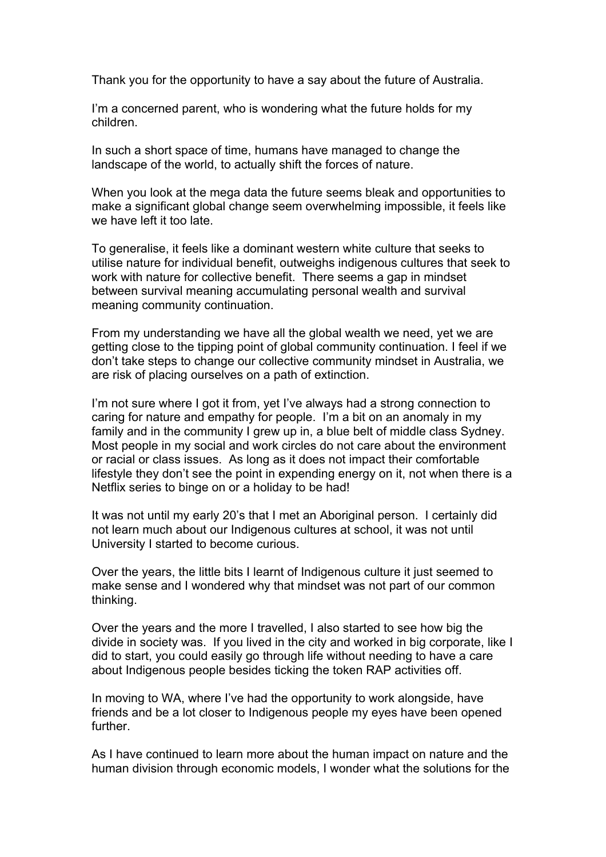Thank you for the opportunity to have a say about the future of Australia.

 I'm a concerned parent, who is wondering what the future holds for my children.

 In such a short space of time, humans have managed to change the landscape of the world, to actually shift the forces of nature.

 When you look at the mega data the future seems bleak and opportunities to make a significant global change seem overwhelming impossible, it feels like we have left it too late.

 To generalise, it feels like a dominant western white culture that seeks to utilise nature for individual benefit, outweighs indigenous cultures that seek to work with nature for collective benefit. There seems a gap in mindset between survival meaning accumulating personal wealth and survival meaning community continuation.

 From my understanding we have all the global wealth we need, yet we are getting close to the tipping point of global community continuation. I feel if we don't take steps to change our collective community mindset in Australia, we are risk of placing ourselves on a path of extinction.

 I'm not sure where I got it from, yet I've always had a strong connection to caring for nature and empathy for people. I'm a bit on an anomaly in my family and in the community I grew up in, a blue belt of middle class Sydney. Most people in my social and work circles do not care about the environment or racial or class issues. As long as it does not impact their comfortable lifestyle they don't see the point in expending energy on it, not when there is a Netflix series to binge on or a holiday to be had!

 It was not until my early 20's that I met an Aboriginal person. I certainly did not learn much about our Indigenous cultures at school, it was not until University I started to become curious.

 Over the years, the little bits I learnt of Indigenous culture it just seemed to make sense and I wondered why that mindset was not part of our common thinking.

 Over the years and the more I travelled, I also started to see how big the divide in society was. If you lived in the city and worked in big corporate, like I did to start, you could easily go through life without needing to have a care about Indigenous people besides ticking the token RAP activities off.

 In moving to WA, where I've had the opportunity to work alongside, have friends and be a lot closer to Indigenous people my eyes have been opened further.

 As I have continued to learn more about the human impact on nature and the human division through economic models, I wonder what the solutions for the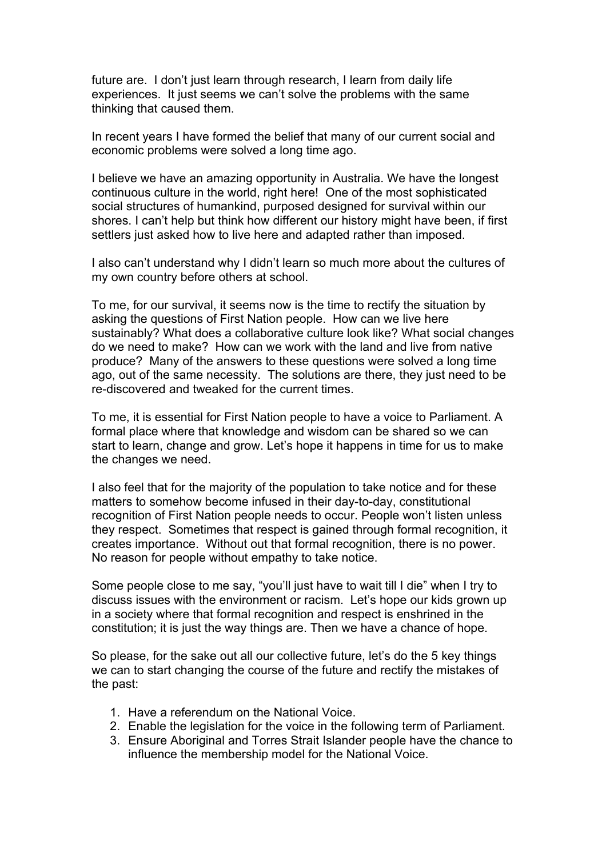future are. I don't just learn through research, I learn from daily life experiences. It just seems we can't solve the problems with the same thinking that caused them.

 In recent years I have formed the belief that many of our current social and economic problems were solved a long time ago.

 I believe we have an amazing opportunity in Australia. We have the longest continuous culture in the world, right here! One of the most sophisticated social structures of humankind, purposed designed for survival within our shores. I can't help but think how different our history might have been, if first settlers just asked how to live here and adapted rather than imposed.

 I also can't understand why I didn't learn so much more about the cultures of my own country before others at school.

 To me, for our survival, it seems now is the time to rectify the situation by asking the questions of First Nation people. How can we live here sustainably? What does a collaborative culture look like? What social changes do we need to make? How can we work with the land and live from native produce? Many of the answers to these questions were solved a long time ago, out of the same necessity. The solutions are there, they just need to be re-discovered and tweaked for the current times.

 To me, it is essential for First Nation people to have a voice to Parliament. A formal place where that knowledge and wisdom can be shared so we can start to learn, change and grow. Let's hope it happens in time for us to make the changes we need.

 I also feel that for the majority of the population to take notice and for these matters to somehow become infused in their day-to-day, constitutional recognition of First Nation people needs to occur. People won't listen unless they respect. Sometimes that respect is gained through formal recognition, it creates importance. Without out that formal recognition, there is no power. No reason for people without empathy to take notice.

 Some people close to me say, "you'll just have to wait till I die" when I try to discuss issues with the environment or racism. Let's hope our kids grown up in a society where that formal recognition and respect is enshrined in the constitution; it is just the way things are. Then we have a chance of hope.

 So please, for the sake out all our collective future, let's do the 5 key things we can to start changing the course of the future and rectify the mistakes of the past:

- 1. Have a referendum on the National Voice.
- 2. Enable the legislation for the voice in the following term of Parliament.
- 3. Ensure Aboriginal and Torres Strait Islander people have the chance to influence the membership model for the National Voice.